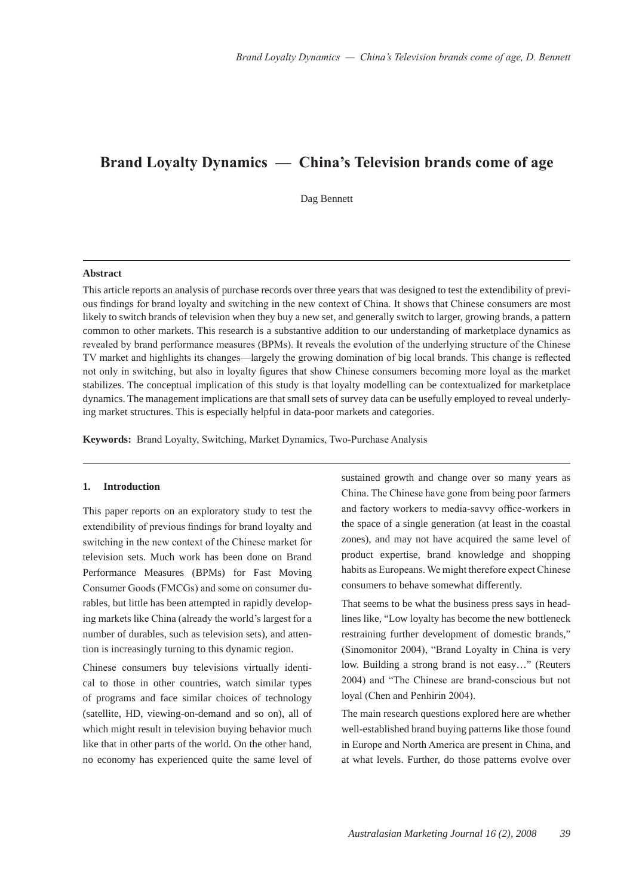## **Brand Loyalty Dynamics — China's Television brands come of age**

Dag Bennett

### **Abstract**

This article reports an analysis of purchase records over three years that was designed to test the extendibility of previous findings for brand loyalty and switching in the new context of China. It shows that Chinese consumers are most likely to switch brands of television when they buy a new set, and generally switch to larger, growing brands, a pattern common to other markets. This research is a substantive addition to our understanding of marketplace dynamics as revealed by brand performance measures (BPMs). It reveals the evolution of the underlying structure of the Chinese TV market and highlights its changes—largely the growing domination of big local brands. This change is reflected not only in switching, but also in loyalty figures that show Chinese consumers becoming more loyal as the market stabilizes. The conceptual implication of this study is that loyalty modelling can be contextualized for marketplace dynamics. The management implications are that small sets of survey data can be usefully employed to reveal underlying market structures. This is especially helpful in data-poor markets and categories.

**Keywords:** Brand Loyalty, Switching, Market Dynamics, Two-Purchase Analysis

#### **1. Introduction**

This paper reports on an exploratory study to test the extendibility of previous findings for brand loyalty and switching in the new context of the Chinese market for television sets. Much work has been done on Brand Performance Measures (BPMs) for Fast Moving Consumer Goods (FMCGs) and some on consumer durables, but little has been attempted in rapidly developing markets like China (already the world's largest for a number of durables, such as television sets), and attention is increasingly turning to this dynamic region.

Chinese consumers buy televisions virtually identical to those in other countries, watch similar types of programs and face similar choices of technology (satellite, HD, viewing-on-demand and so on), all of which might result in television buying behavior much like that in other parts of the world. On the other hand, no economy has experienced quite the same level of sustained growth and change over so many years as China. The Chinese have gone from being poor farmers and factory workers to media-savvy office-workers in the space of a single generation (at least in the coastal zones), and may not have acquired the same level of product expertise, brand knowledge and shopping habits as Europeans. We might therefore expect Chinese consumers to behave somewhat differently.

That seems to be what the business press says in headlines like, "Low loyalty has become the new bottleneck restraining further development of domestic brands," (Sinomonitor 2004), "Brand Loyalty in China is very low. Building a strong brand is not easy…" (Reuters 2004) and "The Chinese are brand-conscious but not loyal (Chen and Penhirin 2004).

The main research questions explored here are whether well-established brand buying patterns like those found in Europe and North America are present in China, and at what levels. Further, do those patterns evolve over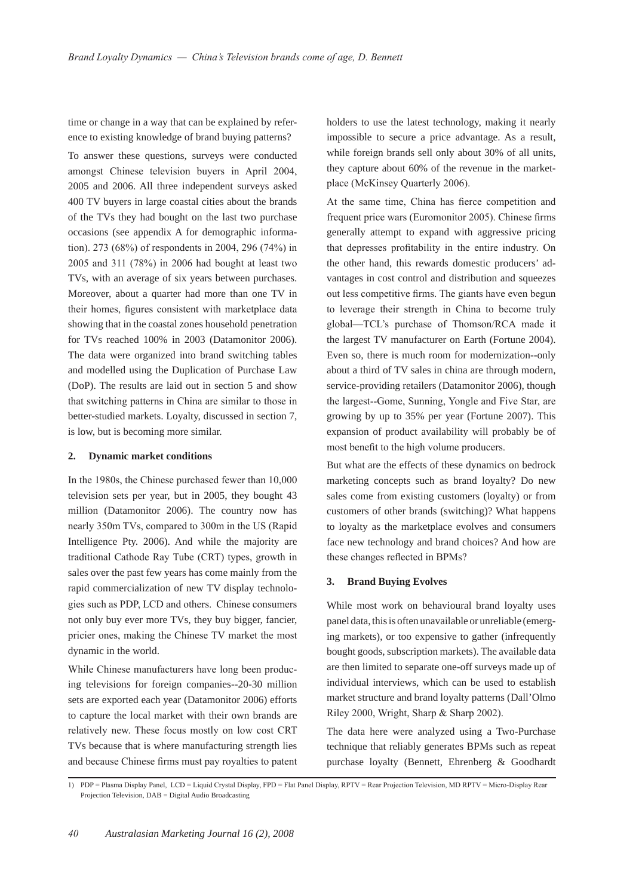time or change in a way that can be explained by reference to existing knowledge of brand buying patterns?

To answer these questions, surveys were conducted amongst Chinese television buyers in April 2004, 2005 and 2006. All three independent surveys asked 400 TV buyers in large coastal cities about the brands of the TVs they had bought on the last two purchase occasions (see appendix A for demographic information). 273 (68%) of respondents in 2004, 296 (74%) in 2005 and 311 (78%) in 2006 had bought at least two TVs, with an average of six years between purchases. Moreover, about a quarter had more than one TV in their homes, figures consistent with marketplace data showing that in the coastal zones household penetration for TVs reached 100% in 2003 (Datamonitor 2006). The data were organized into brand switching tables and modelled using the Duplication of Purchase Law (DoP). The results are laid out in section 5 and show that switching patterns in China are similar to those in better-studied markets. Loyalty, discussed in section 7, is low, but is becoming more similar.

#### **2. Dynamic market conditions**

In the 1980s, the Chinese purchased fewer than 10,000 television sets per year, but in 2005, they bought 43 million (Datamonitor 2006). The country now has nearly 350m TVs, compared to 300m in the US (Rapid Intelligence Pty. 2006). And while the majority are traditional Cathode Ray Tube (CRT) types, growth in sales over the past few years has come mainly from the rapid commercialization of new TV display technologies such as PDP, LCD and others. Chinese consumers not only buy ever more TVs, they buy bigger, fancier, pricier ones, making the Chinese TV market the most dynamic in the world.

While Chinese manufacturers have long been producing televisions for foreign companies--20-30 million sets are exported each year (Datamonitor 2006) efforts to capture the local market with their own brands are relatively new. These focus mostly on low cost CRT TVs because that is where manufacturing strength lies and because Chinese firms must pay royalties to patent holders to use the latest technology, making it nearly impossible to secure a price advantage. As a result, while foreign brands sell only about 30% of all units, they capture about 60% of the revenue in the marketplace (McKinsey Quarterly 2006).

At the same time, China has fierce competition and frequent price wars (Euromonitor 2005). Chinese firms generally attempt to expand with aggressive pricing that depresses profitability in the entire industry. On the other hand, this rewards domestic producers' advantages in cost control and distribution and squeezes out less competitive firms. The giants have even begun to leverage their strength in China to become truly global—TCL's purchase of Thomson/RCA made it the largest TV manufacturer on Earth (Fortune 2004). Even so, there is much room for modernization--only about a third of TV sales in china are through modern, service-providing retailers (Datamonitor 2006), though the largest--Gome, Sunning, Yongle and Five Star, are growing by up to 35% per year (Fortune 2007). This expansion of product availability will probably be of most benefit to the high volume producers.

But what are the effects of these dynamics on bedrock marketing concepts such as brand loyalty? Do new sales come from existing customers (loyalty) or from customers of other brands (switching)? What happens to loyalty as the marketplace evolves and consumers face new technology and brand choices? And how are these changes reflected in BPMs?

#### **3. Brand Buying Evolves**

While most work on behavioural brand loyalty uses panel data, this is often unavailable or unreliable (emerging markets), or too expensive to gather (infrequently bought goods, subscription markets). The available data are then limited to separate one-off surveys made up of individual interviews, which can be used to establish market structure and brand loyalty patterns (Dall'Olmo Riley 2000, Wright, Sharp & Sharp 2002).

The data here were analyzed using a Two-Purchase technique that reliably generates BPMs such as repeat purchase loyalty (Bennett, Ehrenberg & Goodhardt

<sup>1)</sup> PDP = Plasma Display Panel, LCD = Liquid Crystal Display, FPD = Flat Panel Display, RPTV = Rear Projection Television, MD RPTV = Micro-Display Rear Projection Television, DAB = Digital Audio Broadcasting